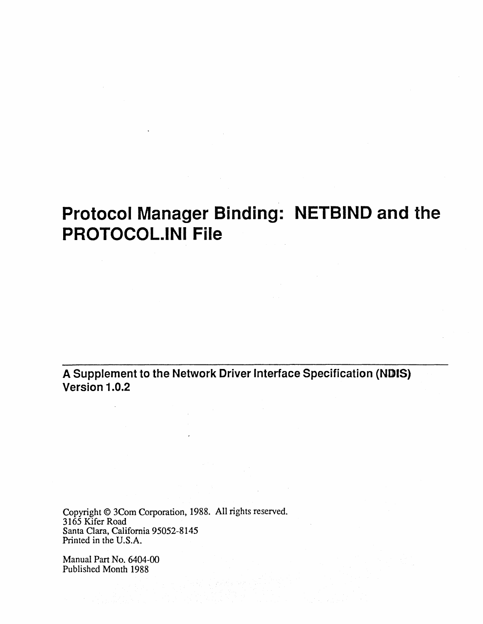**A Supplement to the Network Driver Interface Specification (NDIS) Version 1.0.2** 

Copyright © 3Com Corporation, 1988. All rights reserved. 3165 Kifer Road Santa Clara, California 95052-8145 Printed in the U.S.A.

Manual Part No. 6404-00 Published Month 1988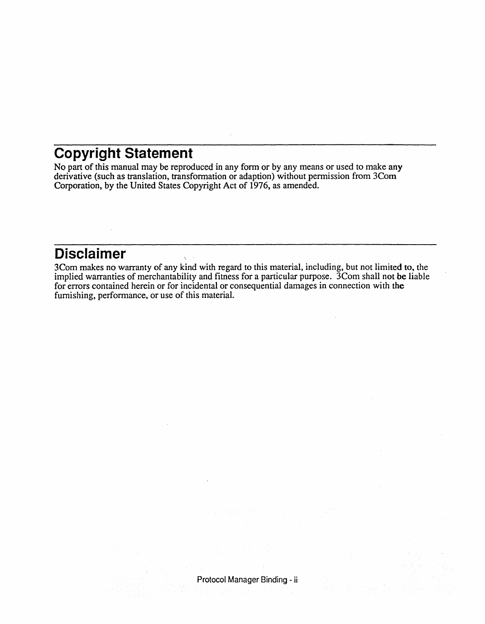#### **Copyright Statement**

No part of this manual may be reproduced in any form or by any means or used to make any derivative (such as translation, transformation or adaption) without permission from 3Com Corporation, by the United States Copyright Act of 1976, as amended.

#### **Disclaimer**

3Com makes no warranty of any kind with regard to this material, including, but not limited to, the implied warranties of merchantability and fitness for a particular purpose. 3Com shall not be liable for errors contained herein or for incidental or consequential damages in connection with the furnishing, performance, or use of this material.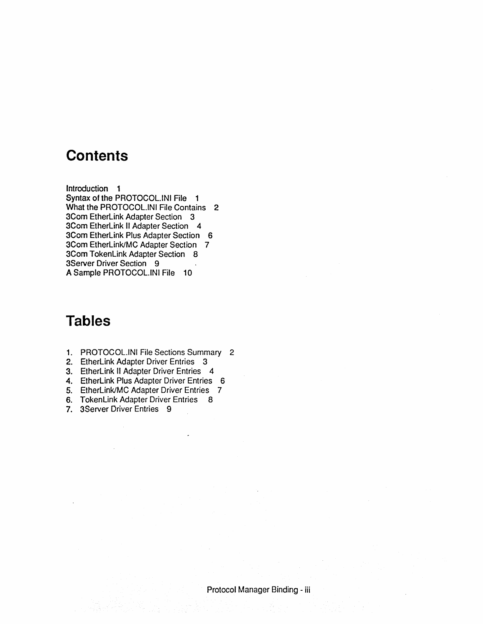#### **Contents**

Introduction 1 Syntax of the PROTOCOL.INI File 1 What the PROTOCOL.INI File Contains 2 3Com EtherLink Adapter Section 3 3Com EtherLink II Adapter Section 4 3Com EtherLink Plus Adapter Section 6 3Com EtherLink/MC Adapter Section 7 3Com TokenLink Adapter Section 8 3Server Driver Section 9 A Sample PROTOCOL.INI File 10

#### **Tables**

- 1. PROTOCOL.INI File Sections Summary 2
- 2. EtherLink Adapter Driver Entries 3
- 3. EtherLink II Adapter Driver Entries 4
- 4. EtherLink Plus Adapter Driver Entries 6
- 5. EtherLink/MC Adapter Driver Entries 7
- 6. TokenLink Adapter Driver Entries 8
- 7. 3Server Driver Entries 9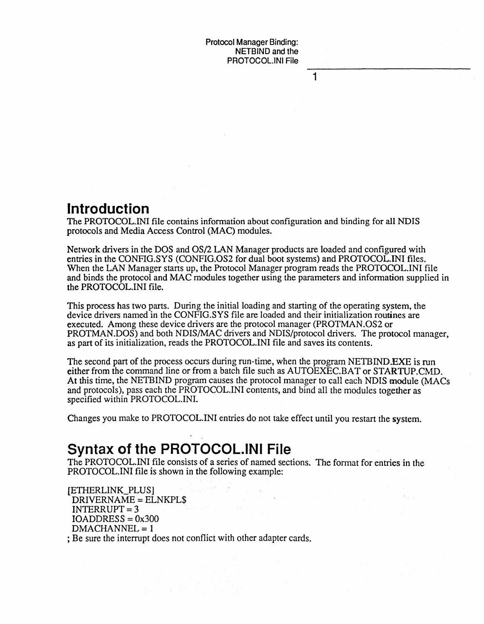1

#### **Introduction**

The PROTOCOL.INI file contains information about configuration and binding for all NDIS protocols and Media Access Control (MAC) modules.

Network drivers in the DOS and OS/2 LAN Manager products are loaded and configured with entries in the CONFIG.SYS (CONFIG.OS2 for dual boot systems) and PROTOCOL.INI files. When the LAN Manager starts up, the Protocol Manager program reads the PROTOCOL.INI file and binds the protocol and MAC modules together using the parameters and information supplied in the PROTOCOL.lNI file.

This process has two parts. During the initial loading and starting of the operating system, the device drivers named in the CONFIG.SYS file are loaded and their initialization routines are executed. Among these device drivers are the protocol manager (PROTMAN .OS2 or PROTMAN.DOS) and both NDIS/MAC drivers and NDIS/protocol drivers. The protocol manager, as part of its initialization, reads the PROTOCOL.INI file and saves its contents.

The second part of the process occurs during run-time, when the program NETBIND.EXE is run either from the command line or from a batch file such as AUTOEXEC.BAT or STARTUP.CMD. At this time, the NETBIND program causes the protocol manager to call each NDIS module (MACs and protocols), pass each the PROTOCOL.INI contents, and bind all the modules together as specified within PROTOCOL.INI.

Changes you make to PROTOCOL.INI entries do not take effect until you restart the system.

#### **Syntax of the PROTOCOL.lNI File**

The PROTOCOL.INI file consists of a series of named sections. The format for entries in the PROTOCOL.INI file is shown in the following example:

[ETIlERLINK\_PLUS] DRIVERNAME = ELNKPL\$ INTERRUPT = 3  $IOADDRESS = 0x300$ DMACHANNEL = 1

; Be sure the interrupt does not conflict with other adapter cards.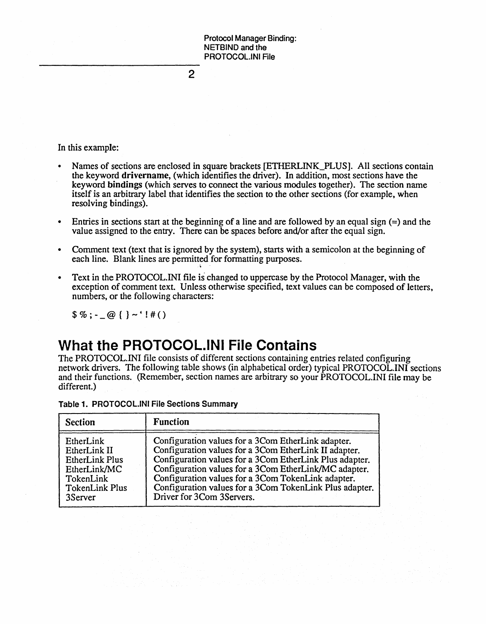2

In this example:

- Names of sections are enclosed in square brackets [ETHERLINK\_PLUS]. All sections contain the keyword drivername, (which identifies the driver). In addition, most sections have the keyword bindings (which serves to connect the various modules together). The section name itself is an arbitrary label that identifies the section to the other sections (for example, when resolving bindings).
- Entries in sections start at the beginning of a line and are followed by an equal sign  $(=)$  and the value assigned to the entry. There can be spaces before and/or after the equal sign.
- Comment text (text that is ignored by the system), starts with a semicolon at the beginning of each line. Blank lines are permitted for formatting purposes.
- :<br>. . • Text in the PROTOCOL.INI file is changed to uppercase by the Protocol Manager, with the exception of comment text. Unless otherwise specified, text values can be composed of letters, numbers, or the following characters:

 $\frac{6}{9}$  \, - \_ @ { } ~ ' ! # ( )

### **What the PROTOCOL.lNI File Contains**

The PROTOCOL.INI file consists of different sections containing entries related configuring network drivers. The following table shows (in alphabetical order) typical PROTOCOL. INI sections and their functions. (Remember, section names are arbitrary so your PROTOCOL.INI file may be different.)

| <b>Section</b>        | <b>Function</b>                                         |
|-----------------------|---------------------------------------------------------|
| EtherLink             | Configuration values for a 3Com EtherLink adapter.      |
| EtherLink II          | Configuration values for a 3Com EtherLink II adapter.   |
| <b>EtherLink Plus</b> | Configuration values for a 3Com EtherLink Plus adapter. |
| EtherLink/MC          | Configuration values for a 3Com EtherLink/MC adapter.   |
| TokenLink             | Configuration values for a 3Com TokenLink adapter.      |
| <b>TokenLink Plus</b> | Configuration values for a 3Com TokenLink Plus adapter. |
| 3Server               | Driver for 3Com 3Servers.                               |

Table 1. PROTOCOL.INI File Sections Summary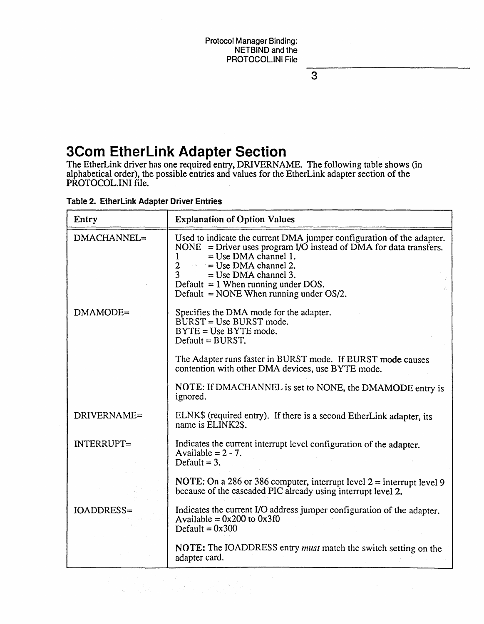3

### **3Com EtherLink Adapter Section**

The EtherLink driver has one required entry, DRIVERNAME. The following table shows (in alphabetical order), the possible entries and values for the EtherLink adapter section of the PROTOCOL.INI file.

| Entry             | <b>Explanation of Option Values</b>                                                                                                                                                                                                                                                                                                         |
|-------------------|---------------------------------------------------------------------------------------------------------------------------------------------------------------------------------------------------------------------------------------------------------------------------------------------------------------------------------------------|
| DMACHANNEL=       | Used to indicate the current DMA jumper configuration of the adapter.<br>NONE = Driver uses program I/O instead of DMA for data transfers.<br>$=$ Use DMA channel 1.<br>1<br>$\overline{2}$<br>$=$ Use DMA channel 2.<br>3<br>$=$ Use DMA channel 3.<br>Default $= 1$ When running under DOS.<br>Default = NONE When running under $OS/2$ . |
| DMAMODE=          | Specifies the DMA mode for the adapter.<br>$BURST = Use BURST mode.$<br>$BYTE = Use BYTE mode.$<br>$Default = BURST$ .                                                                                                                                                                                                                      |
|                   | The Adapter runs faster in BURST mode. If BURST mode causes<br>contention with other DMA devices, use BYTE mode.                                                                                                                                                                                                                            |
|                   | NOTE: If DMACHANNEL is set to NONE, the DMAMODE entry is<br>ignored.                                                                                                                                                                                                                                                                        |
| DRIVERNAME=       | ELNK\$ (required entry). If there is a second EtherLink adapter, its<br>name is ELINK2\$.                                                                                                                                                                                                                                                   |
| <b>INTERRUPT=</b> | Indicates the current interrupt level configuration of the adapter.<br>Available = $2 - 7$ .<br>Default = $3$ .                                                                                                                                                                                                                             |
|                   | <b>NOTE:</b> On a 286 or 386 computer, interrupt level $2 =$ interrupt level 9<br>because of the cascaded PIC already using interrupt level 2.                                                                                                                                                                                              |
| IOADDRESS=        | Indicates the current I/O address jumper configuration of the adapter.<br>Available = $0x200$ to $0x3f0$<br>Default = $0x300$                                                                                                                                                                                                               |
|                   | NOTE: The IOADDRESS entry must match the switch setting on the<br>adapter card.                                                                                                                                                                                                                                                             |

#### Table 2. EtherLink Adapter Driver Entries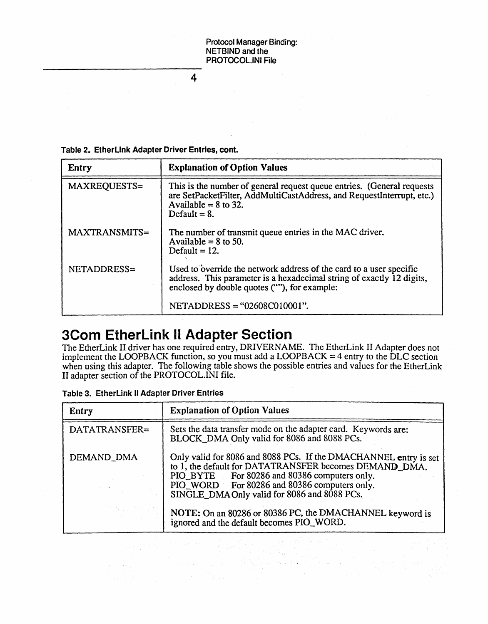4

Table 2. EtherLink Adapter Driver Entries, cont.

| Entry         | <b>Explanation of Option Values</b>                                                                                                                                                          |
|---------------|----------------------------------------------------------------------------------------------------------------------------------------------------------------------------------------------|
| MAXREQUESTS=  | This is the number of general request queue entries. (General requests<br>are SetPacketFilter, AddMultiCastAddress, and RequestInterrupt, etc.)<br>Available = $8$ to 32.<br>Default $= 8$ . |
| MAXTRANSMITS= | The number of transmit queue entries in the MAC driver.<br>Available = $8$ to 50.<br>Default $= 12$ .                                                                                        |
| NETADDRESS=   | Used to override the network address of the card to a user specific<br>address. This parameter is a hexadecimal string of exactly 12 digits,<br>enclosed by double quotes (""), for example: |
|               | NETADDRESS = "02608C010001".                                                                                                                                                                 |

### **3Com EtherLink II Adapter Section**

The EtherLink II driver has one required entry, DRlVERNAME. The EtherLink II Adapter does not implement the LOOPBACK function, so you must add a LOOPBACK = 4 entry to the DLC section when using this adapter. The following table shows the possible entries and values for the EtherLink II adapter section of the PROTOCOL.INI file.

|  | Table 3. EtherLink II Adapter Driver Entries |
|--|----------------------------------------------|
|--|----------------------------------------------|

| Entry         | <b>Explanation of Option Values</b>                                                                                                                                                                                                                                        |
|---------------|----------------------------------------------------------------------------------------------------------------------------------------------------------------------------------------------------------------------------------------------------------------------------|
| DATATRANSFER= | Sets the data transfer mode on the adapter card. Keywords are:<br>BLOCK_DMA Only valid for 8086 and 8088 PCs.                                                                                                                                                              |
| DEMAND_DMA    | Only valid for 8086 and 8088 PCs. If the DMACHANNEL entry is set<br>to 1, the default for DATATRANSFER becomes DEMAND DMA.<br>PIO_BYTE For 80286 and 80386 computers only.<br>PIO_WORD For 80286 and 80386 computers only.<br>SINGLE_DMA Only valid for 8086 and 8088 PCs. |
|               | NOTE: On an 80286 or 80386 PC, the DMACHANNEL keyword is<br>ignored and the default becomes PIO_WORD.                                                                                                                                                                      |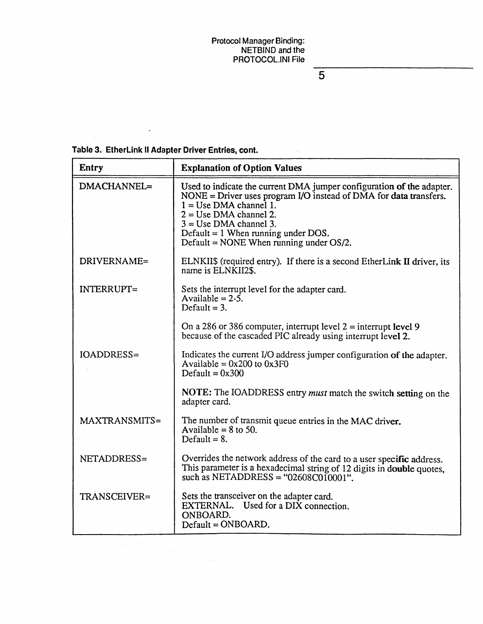5

|  |  |  |  |  | Table 3. EtherLink II Adapter Driver Entries, cont. |
|--|--|--|--|--|-----------------------------------------------------|
|--|--|--|--|--|-----------------------------------------------------|

 $\ddot{\phantom{0}}$ 

 $\sim$   $\sim$ 

| <b>Entry</b>                                                                                                                                                                                                                                                                                                                                                                                                                                              | <b>Explanation of Option Values</b>                                                                                                                                                                                                                                                                                   |
|-----------------------------------------------------------------------------------------------------------------------------------------------------------------------------------------------------------------------------------------------------------------------------------------------------------------------------------------------------------------------------------------------------------------------------------------------------------|-----------------------------------------------------------------------------------------------------------------------------------------------------------------------------------------------------------------------------------------------------------------------------------------------------------------------|
| DMACHANNEL=                                                                                                                                                                                                                                                                                                                                                                                                                                               | Used to indicate the current DMA jumper configuration of the adapter.<br>NONE = Driver uses program $I/O$ instead of DMA for data transfers.<br>$1 = Use DMA channel 1.$<br>$2 = Use DMA channel 2.$<br>$3 = Use DMA channel$ 3.<br>Default = 1 When running under DOS.<br>Default = NONE When running under $OS/2$ . |
| DRIVERNAME=                                                                                                                                                                                                                                                                                                                                                                                                                                               | ELNKII\$ (required entry). If there is a second EtherLink II driver, its<br>name is ELNKII2\$.                                                                                                                                                                                                                        |
| INTERRUPT=                                                                                                                                                                                                                                                                                                                                                                                                                                                | Sets the interrupt level for the adapter card.<br>Available = $2-5$ .<br>Default = $3$ .                                                                                                                                                                                                                              |
|                                                                                                                                                                                                                                                                                                                                                                                                                                                           | On a 286 or 386 computer, interrupt level $2 =$ interrupt level 9<br>because of the cascaded PIC already using interrupt level 2.                                                                                                                                                                                     |
| <b>IOADDRESS=</b>                                                                                                                                                                                                                                                                                                                                                                                                                                         | Indicates the current I/O address jumper configuration of the adapter.<br>Available = $0x200$ to $0x3F0$<br>Default = $0x300$                                                                                                                                                                                         |
|                                                                                                                                                                                                                                                                                                                                                                                                                                                           | NOTE: The IOADDRESS entry must match the switch setting on the<br>adapter card.                                                                                                                                                                                                                                       |
| MAXTRANSMITS=                                                                                                                                                                                                                                                                                                                                                                                                                                             | The number of transmit queue entries in the MAC driver.<br>Available $= 8$ to 50.<br>Default = $8$ .                                                                                                                                                                                                                  |
| NETADDRESS=                                                                                                                                                                                                                                                                                                                                                                                                                                               | Overrides the network address of the card to a user specific address.<br>This parameter is a hexadecimal string of 12 digits in double quotes,<br>such as NETADDRESS = " $02608C010001$ ".                                                                                                                            |
| TRANSCEIVER=                                                                                                                                                                                                                                                                                                                                                                                                                                              | Sets the transceiver on the adapter card.<br>EXTERNAL. Used for a DIX connection.<br>ONBOARD.<br>Default = ONBOARD.                                                                                                                                                                                                   |
| $\mathcal{L}^{\mathcal{L}}(\mathcal{L}^{\mathcal{L}}(\mathcal{L}^{\mathcal{L}}(\mathcal{L}^{\mathcal{L}}(\mathcal{L}^{\mathcal{L}}(\mathcal{L}^{\mathcal{L}}(\mathcal{L}^{\mathcal{L}}(\mathcal{L}^{\mathcal{L}}(\mathcal{L}^{\mathcal{L}}(\mathcal{L}^{\mathcal{L}}(\mathcal{L}^{\mathcal{L}}(\mathcal{L}^{\mathcal{L}}(\mathcal{L}^{\mathcal{L}}(\mathcal{L}^{\mathcal{L}}(\mathcal{L}^{\mathcal{L}}(\mathcal{L}^{\mathcal{L}}(\mathcal{L}^{\mathcal{L$ |                                                                                                                                                                                                                                                                                                                       |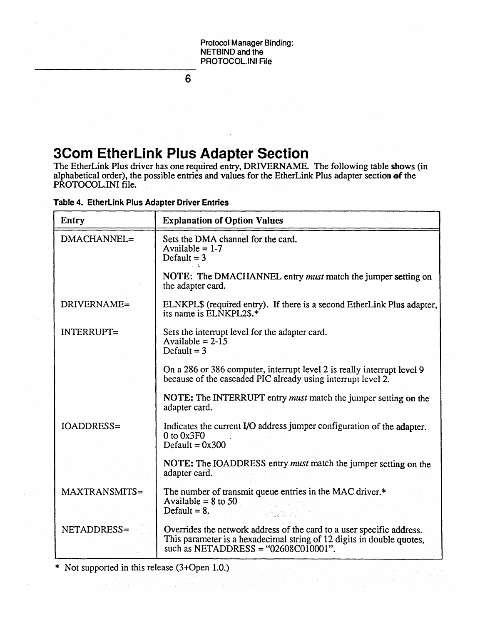6

## **3Corn EtherLink Plus Adapter Section**

The EtherLink Plus driver has one required entry, DRIVERNAME. The following table shows (in alphabetical order), the possible entries and values for the EtherLink Plus adapter section of the PROTOCOL.INI file.

|  |  |  |  | Table 4. EtherLink Plus Adapter Driver Entries |
|--|--|--|--|------------------------------------------------|
|--|--|--|--|------------------------------------------------|

| Entry             | <b>Explanation of Option Values</b>                                                                                                                                                        |
|-------------------|--------------------------------------------------------------------------------------------------------------------------------------------------------------------------------------------|
| DMACHANNEL=       | Sets the DMA channel for the card.<br>Available = $1-7$<br>Default $= 3$                                                                                                                   |
|                   | NOTE: The DMACHANNEL entry must match the jumper setting on<br>the adapter card.                                                                                                           |
| DRIVERNAME=       | ELNKPL\$ (required entry). If there is a second EtherLink Plus adapter,<br>its name is ELNKPL2\$.*                                                                                         |
| <b>INTERRUPT=</b> | Sets the interrupt level for the adapter card.<br>Available = $2-\overline{15}$<br>Default = $3$                                                                                           |
|                   | On a 286 or 386 computer, interrupt level 2 is really interrupt level 9<br>because of the cascaded PIC already using interrupt level 2.                                                    |
|                   | NOTE: The INTERRUPT entry must match the jumper setting on the<br>adapter card.                                                                                                            |
| IOADDRESS=        | Indicates the current I/O address jumper configuration of the adapter.<br>$0$ to $0x3F0$<br>Default = $0x300$                                                                              |
|                   | NOTE: The IOADDRESS entry <i>must</i> match the jumper setting on the<br>adapter card.                                                                                                     |
| MAXTRANSMITS=     | The number of transmit queue entries in the MAC driver.*<br>Available = $8$ to 50<br>Default = $8$ .                                                                                       |
| NETADDRESS=       | Overrides the network address of the card to a user specific address.<br>This parameter is a hexadecimal string of 12 digits in double quotes,<br>such as NETADDRESS = " $02608C010001$ ". |

\* Not supported in this release (3+0pen 1.0.)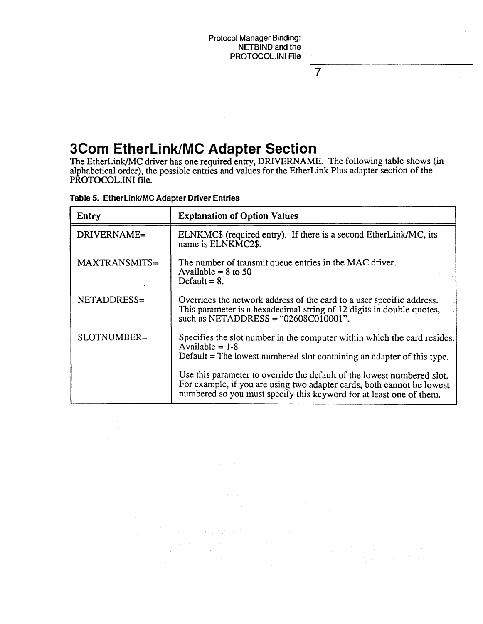7

### **3Corn EtherLink/MC Adapter Section**

The EtherLink/MC driver has one required entry, DRIVERNAME. The following table shows (in alphabetical order), the possible entries and values for the EtherLink Plus adapter section of the PROTOCOL.INI file.

|  | Table 5. EtherLink/MC Adapter Driver Entries |  |  |  |
|--|----------------------------------------------|--|--|--|
|--|----------------------------------------------|--|--|--|

| Entry         | <b>Explanation of Option Values</b>                                                                                                                                                                                      |
|---------------|--------------------------------------------------------------------------------------------------------------------------------------------------------------------------------------------------------------------------|
| DRIVERNAME=   | ELNKMC\$ (required entry). If there is a second EtherLink/MC, its<br>name is ELNKMC2\$.                                                                                                                                  |
| MAXTRANSMITS= | The number of transmit queue entries in the MAC driver.<br>Available = $8$ to 50<br>Default = $8$ .                                                                                                                      |
| NETADDRESS=   | Overrides the network address of the card to a user specific address.<br>This parameter is a hexadecimal string of 12 digits in double quotes,<br>such as NETADDRESS = " $02608C010001$ ".                               |
| SLOTNUMBER=   | Specifies the slot number in the computer within which the card resides.<br>Available $= 1-8$<br>Default $=$ The lowest numbered slot containing an adapter of this type.                                                |
|               | Use this parameter to override the default of the lowest numbered slot.<br>For example, if you are using two adapter cards, both cannot be lowest<br>numbered so you must specify this keyword for at least one of them. |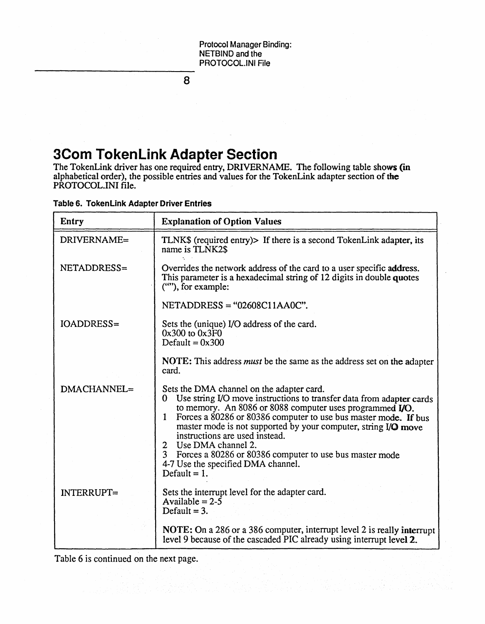8

### **3Corn TokenLink Adapter Section**

The TokenLink driver has one required entry, DRIVERNAME. The following table shows (in alphabetical order), the possible entries and values for the TokenLink adapter section of the PROTOCOL.INI file.

| Table 6. TokenLink Adapter Driver Entries |  |  |
|-------------------------------------------|--|--|
|                                           |  |  |

| Entry             | <b>Explanation of Option Values</b>                                                                                                                                                                                                                                                                                                                                                                                                                                                                                  |
|-------------------|----------------------------------------------------------------------------------------------------------------------------------------------------------------------------------------------------------------------------------------------------------------------------------------------------------------------------------------------------------------------------------------------------------------------------------------------------------------------------------------------------------------------|
| DRIVERNAME=       | TLNK\$ (required entry)> If there is a second TokenLink adapter, its<br>name is TLNK2\$                                                                                                                                                                                                                                                                                                                                                                                                                              |
| NETADDRESS=       | Overrides the network address of the card to a user specific address.<br>This parameter is a hexadecimal string of 12 digits in double quotes<br>(""), for example:                                                                                                                                                                                                                                                                                                                                                  |
|                   | $NETADDRESS = "02608C11AA0C".$                                                                                                                                                                                                                                                                                                                                                                                                                                                                                       |
| <b>IOADDRESS=</b> | Sets the (unique) I/O address of the card.<br>$0x300$ to $0x3F0$<br>Default = $0x300$                                                                                                                                                                                                                                                                                                                                                                                                                                |
|                   | NOTE: This address must be the same as the address set on the adapter<br>card.                                                                                                                                                                                                                                                                                                                                                                                                                                       |
| DMACHANNEL=       | Sets the DMA channel on the adapter card.<br>Use string I/O move instructions to transfer data from adapter cards<br>0<br>to memory. An 8086 or 8088 computer uses programmed <b>I/O</b> .<br>Forces a 80286 or 80386 computer to use bus master mode. If bus<br>1<br>master mode is not supported by your computer, string I/O move<br>instructions are used instead.<br>2 Use DMA channel 2.<br>3 Forces a 80286 or 80386 computer to use bus master mode<br>4-7 Use the specified DMA channel.<br>Default = $1$ . |
| <b>INTERRUPT=</b> | Sets the interrupt level for the adapter card.<br>Available = $2 - 5$<br>Default $= 3$ .                                                                                                                                                                                                                                                                                                                                                                                                                             |
|                   | NOTE: On a 286 or a 386 computer, interrupt level 2 is really interrupt<br>level 9 because of the cascaded PIC already using interrupt level 2.                                                                                                                                                                                                                                                                                                                                                                      |

Table 6 is continued on the next page.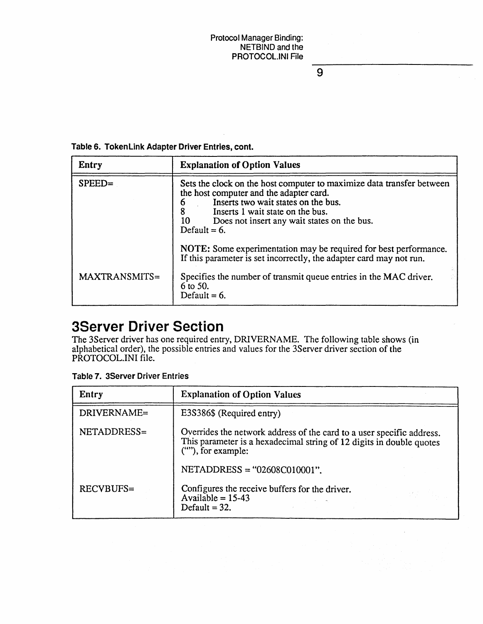$\overline{9}$ 

#### Table 6. TokenLink Adapter Driver Entries, cont.

| Entry         | <b>Explanation of Option Values</b>                                                                                                                                                                                                                                      |
|---------------|--------------------------------------------------------------------------------------------------------------------------------------------------------------------------------------------------------------------------------------------------------------------------|
| $SPEED =$     | Sets the clock on the host computer to maximize data transfer between<br>the host computer and the adapter card.<br>Inserts two wait states on the bus.<br>6<br>Inserts 1 wait state on the bus.<br>10<br>Does not insert any wait states on the bus.<br>Default = $6$ . |
|               | NOTE: Some experimentation may be required for best performance.<br>If this parameter is set incorrectly, the adapter card may not run.                                                                                                                                  |
| MAXTRANSMITS= | Specifies the number of transmit queue entries in the MAC driver.<br>6 to 50.<br>Default = $6$ .                                                                                                                                                                         |

### **3Server Driver Section**

The 3Server driver has one required entry, DRIVERNAME. The following table shows (in alphabetical order), the possible entries and values for the 3Server driver section of the PROTOCOL.INI file.

Table 7. 3Server Driver Entries

| Entry            | <b>Explanation of Option Values</b>                                                                                                                                 |
|------------------|---------------------------------------------------------------------------------------------------------------------------------------------------------------------|
| DRIVERNAME=      | E3S386\$ (Required entry)                                                                                                                                           |
| NETADDRESS=      | Overrides the network address of the card to a user specific address.<br>This parameter is a hexadecimal string of 12 digits in double quotes<br>(""), for example: |
|                  | $NETADDRESS = "02608C010001".$                                                                                                                                      |
| <b>RECVBUFS=</b> | Configures the receive buffers for the driver.<br>Available = $15-43$<br>Default = $32$ .                                                                           |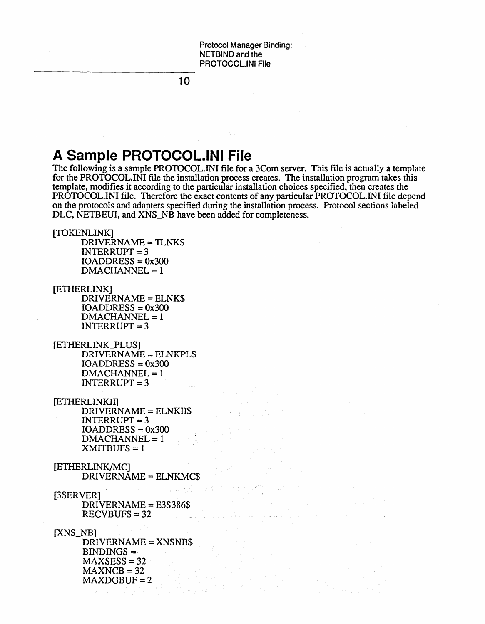**10** 

#### **A Sample PROTOCOL.INt File**

The following is a sample PROTOCOL.INI file for a 3Com server. This file is actually a template for the PROTOCOL.lNI file the installation process creates. The installation program takes this template, modifies it according to the particular installation choices specified, then creates the PROTOCOL.INI file. Therefore the exact contents of any particular PROTOCOL.INI file depend on the protocols and adapters specified during the installation process. Protocol sections labeled DLC, NETBEUI, and XNS\_NB have been added for completeness.

[TOKENLINK]

DRIVERNAME = TLNK\$  $INTERRUPT = 3$  $IOADDRESS = 0x300$  $DMACHANNEL = 1$ 

[ETHERLINK] DRIVERNAME = ELNK\$

> $IOADDRESS = 0x300$  $DMACHANNEL = 1$  $INTERRUPT = 3$

- [ETHERLINK\_PLUS] DRIVERNAME = ELNKPL\$  $IOADDRESS =  $0x300$$  $DMACHANNEL = 1$  $INTERRUPT = 3$
- [ETIIERLINKII] DRIVERNAME = ELNKII\$ .  $INTERRUPT = 3$  $IOADDRESS = 0x300$  $DMACHANNEL = 1$  $XMITBUFS = 1$
- [ETIIERLINK/MC] DRIVERNAME = ELNKMC\$
- and the charge collect [3SERVER] DRIVERNAME = E3S386\$  $RECVBUFS = 32$

[XNS\_NB] DRIVERNAME = XNSNB\$  $BINDINGS =$  $MAXSES = 32$  $MAXNCB = 32$  $MAXDGBUF = 2$